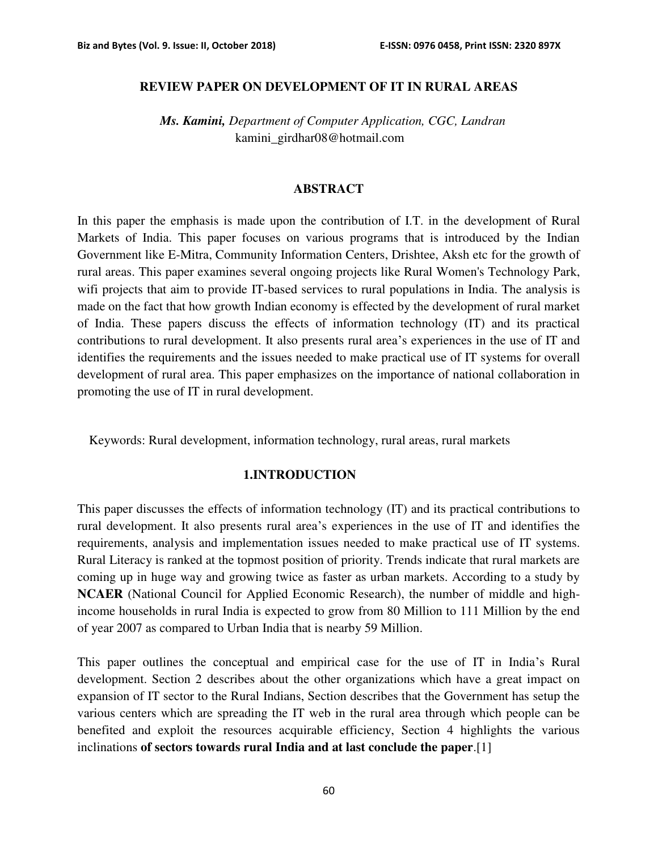#### **REVIEW PAPER ON DEVELOPMENT OF IT IN RURAL AREAS**

 *Ms. Kamini, Department of Computer Application, CGC, Landran*  kamini\_girdhar08@hotmail.com

#### **ABSTRACT**

In this paper the emphasis is made upon the contribution of I.T. in the development of Rural Markets of India. This paper focuses on various programs that is introduced by the Indian Government like E-Mitra, Community Information Centers, Drishtee, Aksh etc for the growth of rural areas. This paper examines several ongoing projects like Rural Women's Technology Park, wifi projects that aim to provide IT-based services to rural populations in India. The analysis is made on the fact that how growth Indian economy is effected by the development of rural market of India. These papers discuss the effects of information technology (IT) and its practical contributions to rural development. It also presents rural area's experiences in the use of IT and identifies the requirements and the issues needed to make practical use of IT systems for overall development of rural area. This paper emphasizes on the importance of national collaboration in promoting the use of IT in rural development.

Keywords: Rural development, information technology, rural areas, rural markets

#### **1.INTRODUCTION**

This paper discusses the effects of information technology (IT) and its practical contributions to rural development. It also presents rural area's experiences in the use of IT and identifies the requirements, analysis and implementation issues needed to make practical use of IT systems. Rural Literacy is ranked at the topmost position of priority. Trends indicate that rural markets are coming up in huge way and growing twice as faster as urban markets. According to a study by **NCAER** (National Council for Applied Economic Research), the number of middle and highincome households in rural India is expected to grow from 80 Million to 111 Million by the end of year 2007 as compared to Urban India that is nearby 59 Million.

This paper outlines the conceptual and empirical case for the use of IT in India's Rural development. Section 2 describes about the other organizations which have a great impact on expansion of IT sector to the Rural Indians, Section describes that the Government has setup the various centers which are spreading the IT web in the rural area through which people can be benefited and exploit the resources acquirable efficiency, Section 4 highlights the various inclinations **of sectors towards rural India and at last conclude the paper**.[1]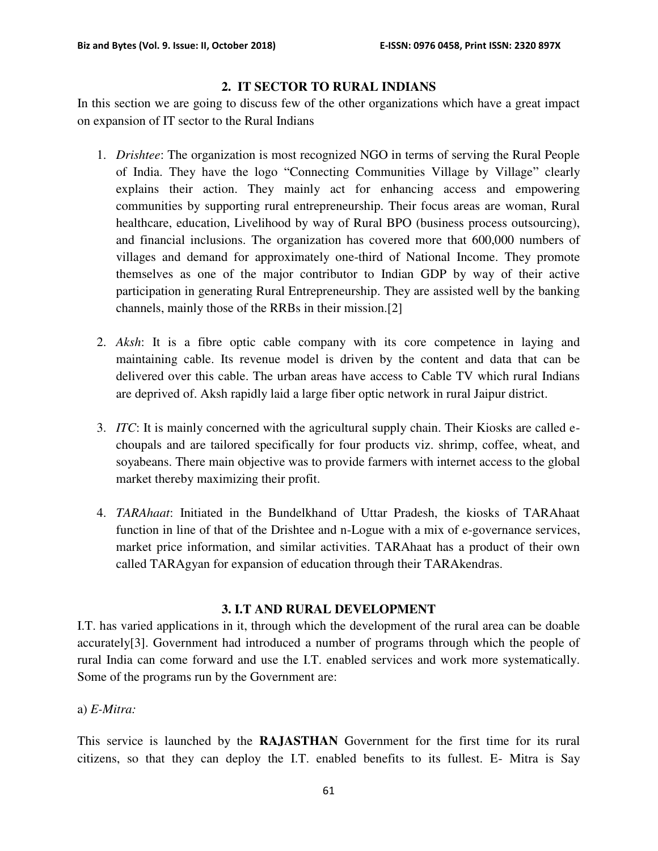## **2. IT SECTOR TO RURAL INDIANS**

In this section we are going to discuss few of the other organizations which have a great impact on expansion of IT sector to the Rural Indians

- 1. *Drishtee*: The organization is most recognized NGO in terms of serving the Rural People of India. They have the logo "Connecting Communities Village by Village" clearly explains their action. They mainly act for enhancing access and empowering communities by supporting rural entrepreneurship. Their focus areas are woman, Rural healthcare, education, Livelihood by way of Rural BPO (business process outsourcing), and financial inclusions. The organization has covered more that 600,000 numbers of villages and demand for approximately one-third of National Income. They promote themselves as one of the major contributor to Indian GDP by way of their active participation in generating Rural Entrepreneurship. They are assisted well by the banking channels, mainly those of the RRBs in their mission.[2]
- 2. *Aksh*: It is a fibre optic cable company with its core competence in laying and maintaining cable. Its revenue model is driven by the content and data that can be delivered over this cable. The urban areas have access to Cable TV which rural Indians are deprived of. Aksh rapidly laid a large fiber optic network in rural Jaipur district.
- 3. *ITC*: It is mainly concerned with the agricultural supply chain. Their Kiosks are called echoupals and are tailored specifically for four products viz. shrimp, coffee, wheat, and soyabeans. There main objective was to provide farmers with internet access to the global market thereby maximizing their profit.
- 4. *TARAhaat*: Initiated in the Bundelkhand of Uttar Pradesh, the kiosks of TARAhaat function in line of that of the Drishtee and n-Logue with a mix of e-governance services, market price information, and similar activities. TARAhaat has a product of their own called TARAgyan for expansion of education through their TARAkendras.

## **3. I.T AND RURAL DEVELOPMENT**

I.T. has varied applications in it, through which the development of the rural area can be doable accurately[3]. Government had introduced a number of programs through which the people of rural India can come forward and use the I.T. enabled services and work more systematically. Some of the programs run by the Government are:

#### a) *E-Mitra:*

This service is launched by the **RAJASTHAN** Government for the first time for its rural citizens, so that they can deploy the I.T. enabled benefits to its fullest. E- Mitra is Say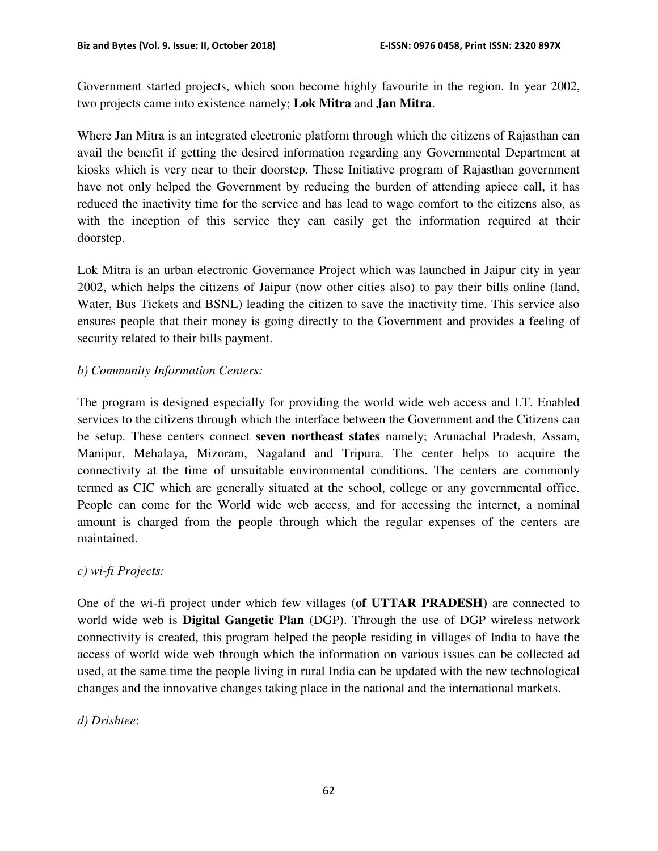Government started projects, which soon become highly favourite in the region. In year 2002, two projects came into existence namely; **Lok Mitra** and **Jan Mitra**.

Where Jan Mitra is an integrated electronic platform through which the citizens of Rajasthan can avail the benefit if getting the desired information regarding any Governmental Department at kiosks which is very near to their doorstep. These Initiative program of Rajasthan government have not only helped the Government by reducing the burden of attending apiece call, it has reduced the inactivity time for the service and has lead to wage comfort to the citizens also, as with the inception of this service they can easily get the information required at their doorstep.

Lok Mitra is an urban electronic Governance Project which was launched in Jaipur city in year 2002, which helps the citizens of Jaipur (now other cities also) to pay their bills online (land, Water, Bus Tickets and BSNL) leading the citizen to save the inactivity time. This service also ensures people that their money is going directly to the Government and provides a feeling of security related to their bills payment.

# *b) Community Information Centers:*

The program is designed especially for providing the world wide web access and I.T. Enabled services to the citizens through which the interface between the Government and the Citizens can be setup. These centers connect **seven northeast states** namely; Arunachal Pradesh, Assam, Manipur, Mehalaya, Mizoram, Nagaland and Tripura. The center helps to acquire the connectivity at the time of unsuitable environmental conditions. The centers are commonly termed as CIC which are generally situated at the school, college or any governmental office. People can come for the World wide web access, and for accessing the internet, a nominal amount is charged from the people through which the regular expenses of the centers are maintained.

# *c) wi-fi Projects:*

One of the wi-fi project under which few villages **(of UTTAR PRADESH)** are connected to world wide web is **Digital Gangetic Plan** (DGP). Through the use of DGP wireless network connectivity is created, this program helped the people residing in villages of India to have the access of world wide web through which the information on various issues can be collected ad used, at the same time the people living in rural India can be updated with the new technological changes and the innovative changes taking place in the national and the international markets.

# *d) Drishtee*: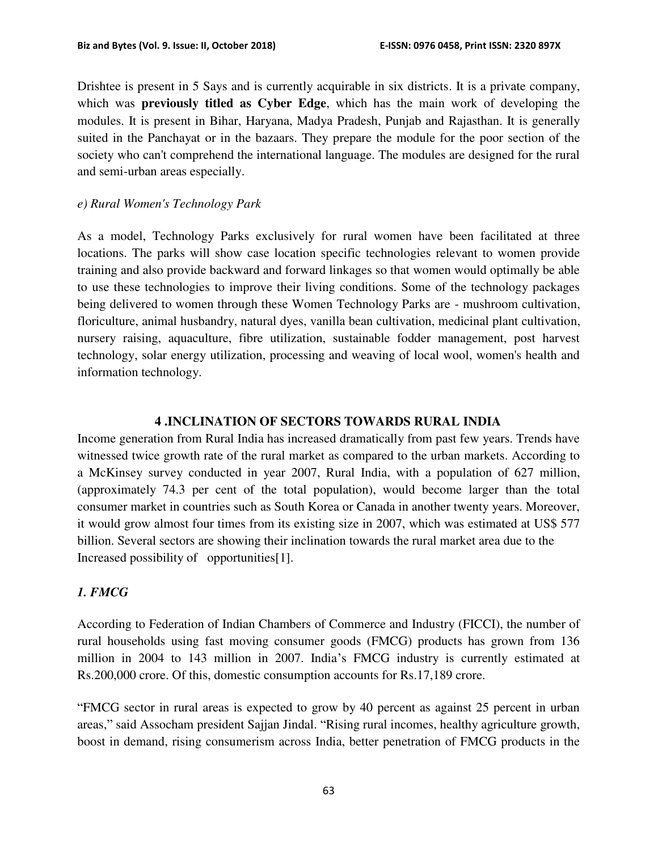Drishtee is present in 5 Says and is currently acquirable in six districts. It is a private company, which was **previously titled as Cyber Edge**, which has the main work of developing the modules. It is present in Bihar, Haryana, Madya Pradesh, Punjab and Rajasthan. It is generally suited in the Panchayat or in the bazaars. They prepare the module for the poor section of the society who can't comprehend the international language. The modules are designed for the rural and semi-urban areas especially.

### *e) Rural Women's Technology Park*

As a model, Technology Parks exclusively for rural women have been facilitated at three locations. The parks will show case location specific technologies relevant to women provide training and also provide backward and forward linkages so that women would optimally be able to use these technologies to improve their living conditions. Some of the technology packages being delivered to women through these Women Technology Parks are - mushroom cultivation, floriculture, animal husbandry, natural dyes, vanilla bean cultivation, medicinal plant cultivation, nursery raising, aquaculture, fibre utilization, sustainable fodder management, post harvest technology, solar energy utilization, processing and weaving of local wool, women's health and information technology.

## **4 .INCLINATION OF SECTORS TOWARDS RURAL INDIA**

Income generation from Rural India has increased dramatically from past few years. Trends have witnessed twice growth rate of the rural market as compared to the urban markets. According to a McKinsey survey conducted in year 2007, Rural India, with a population of 627 million, (approximately 74.3 per cent of the total population), would become larger than the total consumer market in countries such as South Korea or Canada in another twenty years. Moreover, it would grow almost four times from its existing size in 2007, which was estimated at US\$ 577 billion. Several sectors are showing their inclination towards the rural market area due to the Increased possibility of opportunities[1].

# *1. FMCG*

According to Federation of Indian Chambers of Commerce and Industry (FICCI), the number of rural households using fast moving consumer goods (FMCG) products has grown from 136 million in 2004 to 143 million in 2007. India's FMCG industry is currently estimated at Rs.200,000 crore. Of this, domestic consumption accounts for Rs.17,189 crore.

"FMCG sector in rural areas is expected to grow by 40 percent as against 25 percent in urban areas," said Assocham president Sajjan Jindal. "Rising rural incomes, healthy agriculture growth, boost in demand, rising consumerism across India, better penetration of FMCG products in the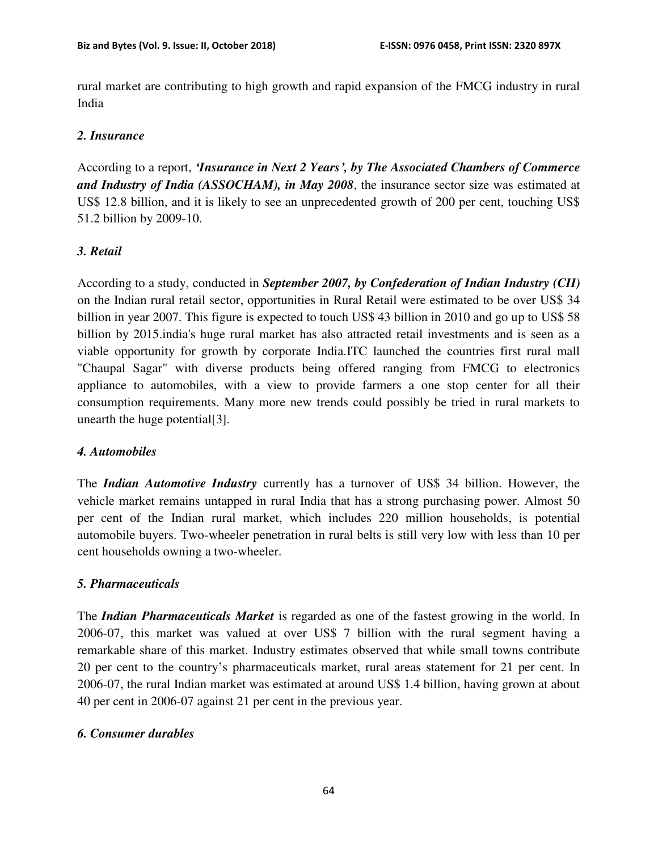rural market are contributing to high growth and rapid expansion of the FMCG industry in rural India

### *2. Insurance*

According to a report, *'Insurance in Next 2 Years', by The Associated Chambers of Commerce and Industry of India (ASSOCHAM), in May 2008*, the insurance sector size was estimated at US\$ 12.8 billion, and it is likely to see an unprecedented growth of 200 per cent, touching US\$ 51.2 billion by 2009-10.

## *3. Retail*

According to a study, conducted in *September 2007, by Confederation of Indian Industry (CII)* on the Indian rural retail sector, opportunities in Rural Retail were estimated to be over US\$ 34 billion in year 2007. This figure is expected to touch US\$ 43 billion in 2010 and go up to US\$ 58 billion by 2015.india's huge rural market has also attracted retail investments and is seen as a viable opportunity for growth by corporate India.ITC launched the countries first rural mall "Chaupal Sagar" with diverse products being offered ranging from FMCG to electronics appliance to automobiles, with a view to provide farmers a one stop center for all their consumption requirements. Many more new trends could possibly be tried in rural markets to unearth the huge potential[3].

## *4. Automobiles*

The *Indian Automotive Industry* currently has a turnover of US\$ 34 billion. However, the vehicle market remains untapped in rural India that has a strong purchasing power. Almost 50 per cent of the Indian rural market, which includes 220 million households, is potential automobile buyers. Two-wheeler penetration in rural belts is still very low with less than 10 per cent households owning a two-wheeler.

## *5. Pharmaceuticals*

The *Indian Pharmaceuticals Market* is regarded as one of the fastest growing in the world. In 2006-07, this market was valued at over US\$ 7 billion with the rural segment having a remarkable share of this market. Industry estimates observed that while small towns contribute 20 per cent to the country's pharmaceuticals market, rural areas statement for 21 per cent. In 2006-07, the rural Indian market was estimated at around US\$ 1.4 billion, having grown at about 40 per cent in 2006-07 against 21 per cent in the previous year.

## *6. Consumer durables*